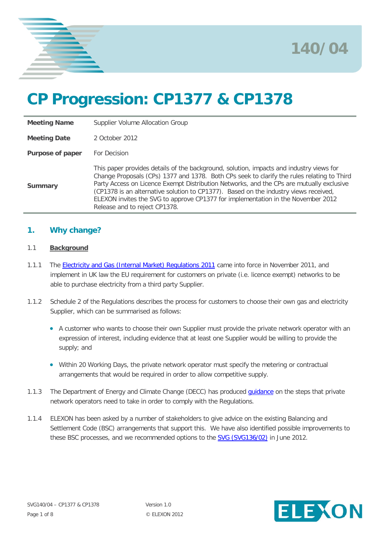



# **CP Progression: CP1377 & CP1378**

| <b>Meeting Name</b> | Supplier Volume Allocation Group                                                                                                                                                                                                                                                                                                                                                                                                                                                               |
|---------------------|------------------------------------------------------------------------------------------------------------------------------------------------------------------------------------------------------------------------------------------------------------------------------------------------------------------------------------------------------------------------------------------------------------------------------------------------------------------------------------------------|
| <b>Meeting Date</b> | 2 October 2012                                                                                                                                                                                                                                                                                                                                                                                                                                                                                 |
| Purpose of paper    | For Decision                                                                                                                                                                                                                                                                                                                                                                                                                                                                                   |
| Summary             | This paper provides details of the background, solution, impacts and industry views for<br>Change Proposals (CPs) 1377 and 1378. Both CPs seek to clarify the rules relating to Third<br>Party Access on Licence Exempt Distribution Networks, and the CPs are mutually exclusive<br>(CP1378 is an alternative solution to CP1377). Based on the industry views received,<br>ELEXON invites the SVG to approve CP1377 for implementation in the November 2012<br>Release and to reject CP1378. |

# **1. Why change?**

### 1.1 **Background**

- 1.1.1 The [Electricity and Gas \(Internal Market\) Regulations 2011](http://www.legislation.gov.uk/ukdsi/2011/9780111513965) came into force in November 2011, and implement in UK law the EU requirement for customers on private (i.e. licence exempt) networks to be able to purchase electricity from a third party Supplier.
- 1.1.2 Schedule 2 of the Regulations describes the process for customers to choose their own gas and electricity Supplier, which can be summarised as follows:
	- A customer who wants to choose their own Supplier must provide the private network operator with an expression of interest, including evidence that at least one Supplier would be willing to provide the supply; and
	- Within 20 Working Days, the private network operator must specify the metering or contractual arrangements that would be required in order to allow competitive supply.
- 1.1.3 The Department of Energy and Climate Change (DECC) has produced *quidance* on the steps that private network operators need to take in order to comply with the Regulations.
- <span id="page-0-0"></span>1.1.4 ELEXON has been asked by a number of stakeholders to give advice on the existing Balancing and Settlement Code (BSC) arrangements that support this. We have also identified possible improvements to these BSC processes, and we recommended options to the **SVG (SVG136/02)** in June 2012.

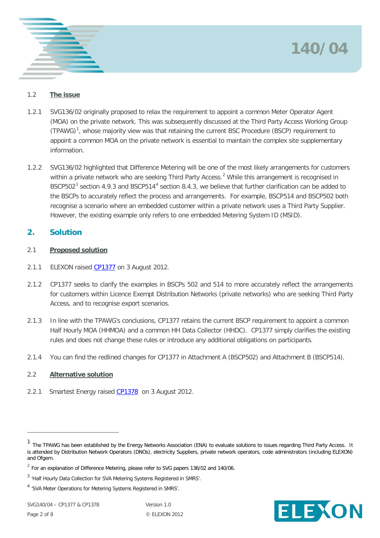



## 1.2 **The issue**

- 1.2.1 SVG136/02 originally proposed to relax the requirement to appoint a common Meter Operator Agent (MOA) on the private network. This was subsequently discussed at the Third Party Access Working Group (TPAWG)<sup>[1](#page-0-0)</sup>, whose majority view was that retaining the current BSC Procedure (BSCP) requirement to appoint a common MOA on the private network is essential to maintain the complex site supplementary information.
- 1.2.2 SVG136/02 highlighted that Difference Metering will be one of the most likely arrangements for customers within a private network who are seeking Third Party Access.<sup>[2](#page-1-0)</sup> While this arrangement is recognised in BSCP502<sup>[3](#page-1-1)</sup> section [4](#page-1-2).9.3 and BSCP514<sup>4</sup> section 8.4.3, we believe that further clarification can be added to the BSCPs to accurately reflect the process and arrangements. For example, BSCP514 and BSCP502 both recognise a scenario where an embedded customer within a private network uses a Third Party Supplier. However, the existing example only refers to one embedded Metering System ID (MSID).

# **2. Solution**

## 2.1 **Proposed solution**

- 2.1.1 ELEXON raised [CP1377](http://www.elexon.co.uk/wp-content/uploads/2012/08/CP1377.pdf) on 3 August 2012.
- 2.1.2 CP1377 seeks to clarify the examples in BSCPs 502 and 514 to more accurately reflect the arrangements for customers within Licence Exempt Distribution Networks (private networks) who are seeking Third Party Access, and to recognise export scenarios.
- 2.1.3 In line with the TPAWG's conclusions, CP1377 retains the current BSCP requirement to appoint a common Half Hourly MOA (HHMOA) and a common HH Data Collector (HHDC). CP1377 simply clarifies the existing rules and does not change these rules or introduce any additional obligations on participants.
- 2.1.4 You can find the redlined changes for CP1377 in Attachment A (BSCP502) and Attachment B (BSCP514).

# 2.2 **Alternative solution**

2.2.1 Smartest Energy raised [CP1378](http://www.elexon.co.uk/wp-content/uploads/2012/08/CP1378.pdf) on 3 August 2012.

 $\overline{a}$ 



<sup>1</sup> The TPAWG has been established by the Energy Networks Association (ENA) to evaluate solutions to issues regarding Third Party Access. It is attended by Distribution Network Operators (DNOs), electricity Suppliers, private network operators, code administrators (including ELEXON) and Ofgem.

<span id="page-1-0"></span> $2$  For an explanation of Difference Metering, please refer to SVG papers 136/02 and 140/06.

<span id="page-1-1"></span><sup>3</sup> 'Half Hourly Data Collection for SVA Metering Systems Registered in SMRS'.

<span id="page-1-2"></span><sup>4</sup> 'SVA Meter Operations for Metering Systems Registered in SMRS'.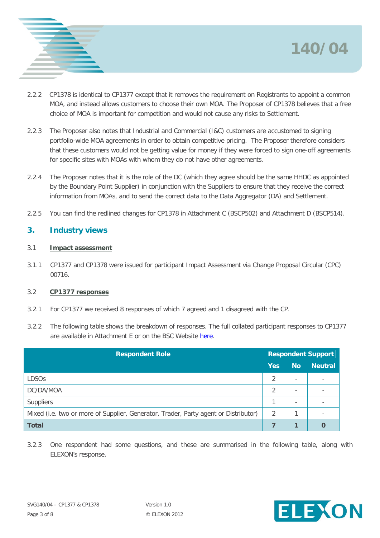



- 2.2.2 CP1378 is identical to CP1377 except that it removes the requirement on Registrants to appoint a common MOA, and instead allows customers to choose their own MOA. The Proposer of CP1378 believes that a free choice of MOA is important for competition and would not cause any risks to Settlement.
- 2.2.3 The Proposer also notes that Industrial and Commercial (I&C) customers are accustomed to signing portfolio-wide MOA agreements in order to obtain competitive pricing. The Proposer therefore considers that these customers would not be getting value for money if they were forced to sign one-off agreements for specific sites with MOAs with whom they do not have other agreements.
- 2.2.4 The Proposer notes that it is the role of the DC (which they agree should be the same HHDC as appointed by the Boundary Point Supplier) in conjunction with the Suppliers to ensure that they receive the correct information from MOAs, and to send the correct data to the Data Aggregator (DA) and Settlement.
- 2.2.5 You can find the redlined changes for CP1378 in Attachment C (BSCP502) and Attachment D (BSCP514).

# **3. Industry views**

## 3.1 **Impact assessment**

3.1.1 CP1377 and CP1378 were issued for participant Impact Assessment via Change Proposal Circular (CPC) 00716.

## 3.2 **CP1377 responses**

- 3.2.1 For CP1377 we received 8 responses of which 7 agreed and 1 disagreed with the CP.
- 3.2.2 The following table shows the breakdown of responses. The full collated participant responses to CP1377 are available in Attachment E or on the BSC Website [here.](http://www.elexon.co.uk/change-proposal/cp1377/)

| <b>Respondent Role</b>                                                              |            | <b>Respondent Support</b> |                          |  |
|-------------------------------------------------------------------------------------|------------|---------------------------|--------------------------|--|
|                                                                                     | <b>Yes</b> | <b>No</b>                 | <b>Neutral</b>           |  |
| <b>LDSOs</b>                                                                        |            | $\overline{\phantom{a}}$  | $\overline{\phantom{a}}$ |  |
| DC/DA/MOA                                                                           |            | $\overline{\phantom{a}}$  |                          |  |
| Suppliers                                                                           |            | $\overline{\phantom{a}}$  |                          |  |
| Mixed (i.e. two or more of Supplier, Generator, Trader, Party agent or Distributor) | 2          |                           |                          |  |
| <b>Total</b>                                                                        |            |                           | O                        |  |

3.2.3 One respondent had some questions, and these are summarised in the following table, along with ELEXON's response.

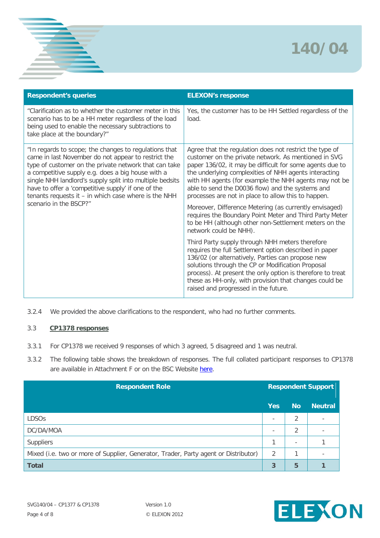

| <b>Respondent's queries</b>                                                                                                                                                                                                                                                                                                                                                                                                      | <b>ELEXON's response</b>                                                                                                                                                                                                                                                                                                                                                                                                                                           |
|----------------------------------------------------------------------------------------------------------------------------------------------------------------------------------------------------------------------------------------------------------------------------------------------------------------------------------------------------------------------------------------------------------------------------------|--------------------------------------------------------------------------------------------------------------------------------------------------------------------------------------------------------------------------------------------------------------------------------------------------------------------------------------------------------------------------------------------------------------------------------------------------------------------|
| "Clarification as to whether the customer meter in this<br>scenario has to be a HH meter regardless of the load<br>being used to enable the necessary subtractions to<br>take place at the boundary?"                                                                                                                                                                                                                            | Yes, the customer has to be HH Settled regardless of the<br>load.                                                                                                                                                                                                                                                                                                                                                                                                  |
| "In regards to scope; the changes to regulations that<br>came in last November do not appear to restrict the<br>type of customer on the private network that can take<br>a competitive supply e.g. does a big house with a<br>single NHH landlord's supply split into multiple bedsits<br>have to offer a 'competitive supply' if one of the<br>tenants requests it $-$ in which case where is the NHH<br>scenario in the BSCP?" | Agree that the regulation does not restrict the type of<br>customer on the private network. As mentioned in SVG<br>paper 136/02, it may be difficult for some agents due to<br>the underlying complexities of NHH agents interacting<br>with HH agents (for example the NHH agents may not be<br>able to send the D0036 flow) and the systems and<br>processes are not in place to allow this to happen.<br>Moreover, Difference Metering (as currently envisaged) |
|                                                                                                                                                                                                                                                                                                                                                                                                                                  | requires the Boundary Point Meter and Third Party Meter<br>to be HH (although other non-Settlement meters on the<br>network could be NHH).                                                                                                                                                                                                                                                                                                                         |
|                                                                                                                                                                                                                                                                                                                                                                                                                                  | Third Party supply through NHH meters therefore<br>requires the full Settlement option described in paper<br>136/02 (or alternatively, Parties can propose new<br>solutions through the CP or Modification Proposal<br>process). At present the only option is therefore to treat<br>these as HH-only, with provision that changes could be<br>raised and progressed in the future.                                                                                |

3.2.4 We provided the above clarifications to the respondent, who had no further comments.

#### 3.3 **CP1378 responses**

- 3.3.1 For CP1378 we received 9 responses of which 3 agreed, 5 disagreed and 1 was neutral.
- 3.3.2 The following table shows the breakdown of responses. The full collated participant responses to CP1378 are available in Attachment F or on the BSC Website [here.](http://www.elexon.co.uk/change-proposal/cp1378/)

| <b>Respondent Role</b>                                                              |                          | <b>Respondent Support</b> |                |  |
|-------------------------------------------------------------------------------------|--------------------------|---------------------------|----------------|--|
|                                                                                     | <b>Yes</b>               | <b>No</b>                 | <b>Neutral</b> |  |
| <b>LDSOs</b>                                                                        | $\overline{\phantom{0}}$ | $\mathfrak{D}$            |                |  |
| DC/DA/MOA                                                                           | $\overline{\phantom{a}}$ | 2                         |                |  |
| Suppliers                                                                           | 1                        | $\overline{\phantom{a}}$  |                |  |
| Mixed (i.e. two or more of Supplier, Generator, Trader, Party agent or Distributor) | 2                        |                           |                |  |
| <b>Total</b>                                                                        | 3                        | 5                         |                |  |

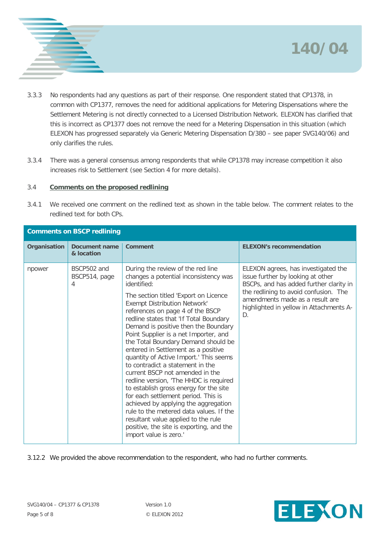



- 3.3.3 No respondents had any questions as part of their response. One respondent stated that CP1378, in common with CP1377, removes the need for additional applications for Metering Dispensations where the Settlement Metering is not directly connected to a Licensed Distribution Network. ELEXON has clarified that this is incorrect as CP1377 does not remove the need for a Metering Dispensation in this situation (which ELEXON has progressed separately via Generic Metering Dispensation D/380 – see paper SVG140/06) and only clarifies the rules.
- 3.3.4 There was a general consensus among respondents that while CP1378 may increase competition it also increases risk to Settlement (see Section 4 for more details).

### 3.4 **Comments on the proposed redlining**

3.4.1 We received one comment on the redlined text as shown in the table below. The comment relates to the redlined text for both CPs.

| <b>Comments on BSCP redlining</b> |                                   |                                                                                                                                                                                                                                                                                                                                                                                                                                                                                                                                                                                                                                                                                                                                                                                                                                                                    |                                                                                                                                                                                                                                                  |  |
|-----------------------------------|-----------------------------------|--------------------------------------------------------------------------------------------------------------------------------------------------------------------------------------------------------------------------------------------------------------------------------------------------------------------------------------------------------------------------------------------------------------------------------------------------------------------------------------------------------------------------------------------------------------------------------------------------------------------------------------------------------------------------------------------------------------------------------------------------------------------------------------------------------------------------------------------------------------------|--------------------------------------------------------------------------------------------------------------------------------------------------------------------------------------------------------------------------------------------------|--|
| <b>Organisation</b>               | Document name<br>& location       | <b>Comment</b>                                                                                                                                                                                                                                                                                                                                                                                                                                                                                                                                                                                                                                                                                                                                                                                                                                                     | <b>ELEXON's recommendation</b>                                                                                                                                                                                                                   |  |
| npower                            | BSCP502 and<br>BSCP514, page<br>4 | During the review of the red line<br>changes a potential inconsistency was<br>identified:<br>The section titled 'Export on Licence<br><b>Exempt Distribution Network'</b><br>references on page 4 of the BSCP<br>redline states that 'If Total Boundary<br>Demand is positive then the Boundary<br>Point Supplier is a net Importer, and<br>the Total Boundary Demand should be<br>entered in Settlement as a positive<br>quantity of Active Import.' This seems<br>to contradict a statement in the<br>current BSCP not amended in the<br>redline version, 'The HHDC is required<br>to establish gross energy for the site<br>for each settlement period. This is<br>achieved by applying the aggregation<br>rule to the metered data values. If the<br>resultant value applied to the rule<br>positive, the site is exporting, and the<br>import value is zero.' | ELEXON agrees, has investigated the<br>issue further by looking at other<br>BSCPs, and has added further clarity in<br>the redlining to avoid confusion. The<br>amendments made as a result are<br>highlighted in yellow in Attachments A-<br>D. |  |

3.12.2 We provided the above recommendation to the respondent, who had no further comments.

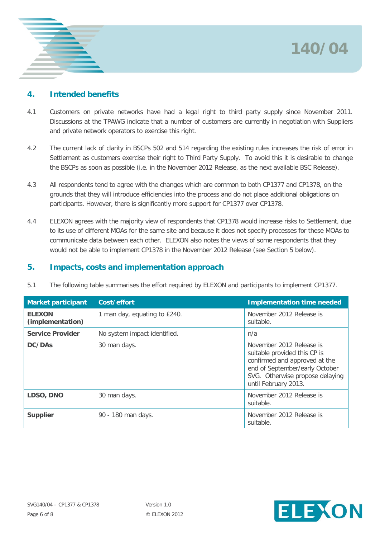# **140/04**



# **4. Intended benefits**

- 4.1 Customers on private networks have had a legal right to third party supply since November 2011. Discussions at the TPAWG indicate that a number of customers are currently in negotiation with Suppliers and private network operators to exercise this right.
- 4.2 The current lack of clarity in BSCPs 502 and 514 regarding the existing rules increases the risk of error in Settlement as customers exercise their right to Third Party Supply. To avoid this it is desirable to change the BSCPs as soon as possible (i.e. in the November 2012 Release, as the next available BSC Release).
- 4.3 All respondents tend to agree with the changes which are common to both CP1377 and CP1378, on the grounds that they will introduce efficiencies into the process and do not place additional obligations on participants. However, there is significantly more support for CP1377 over CP1378.
- 4.4 ELEXON agrees with the majority view of respondents that CP1378 would increase risks to Settlement, due to its use of different MOAs for the same site and because it does not specify processes for these MOAs to communicate data between each other. ELEXON also notes the views of some respondents that they would not be able to implement CP1378 in the November 2012 Release (see Section 5 below).

# **5. Impacts, costs and implementation approach**

| <b>Market participant</b>         | Cost/effort                  | <b>Implementation time needed</b>                                                                                                                                                      |
|-----------------------------------|------------------------------|----------------------------------------------------------------------------------------------------------------------------------------------------------------------------------------|
| <b>ELEXON</b><br>(implementation) | 1 man day, equating to £240. | November 2012 Release is<br>suitable.                                                                                                                                                  |
| <b>Service Provider</b>           | No system impact identified. | n/a                                                                                                                                                                                    |
| DC/DA <sub>s</sub>                | 30 man days.                 | November 2012 Release is<br>suitable provided this CP is<br>confirmed and approved at the<br>end of September/early October<br>SVG. Otherwise propose delaying<br>until February 2013. |
| LDSO, DNO                         | 30 man days.                 | November 2012 Release is<br>suitable.                                                                                                                                                  |
| Supplier                          | 90 - 180 man days.           | November 2012 Release is<br>suitable.                                                                                                                                                  |

5.1 The following table summarises the effort required by ELEXON and participants to implement CP1377.

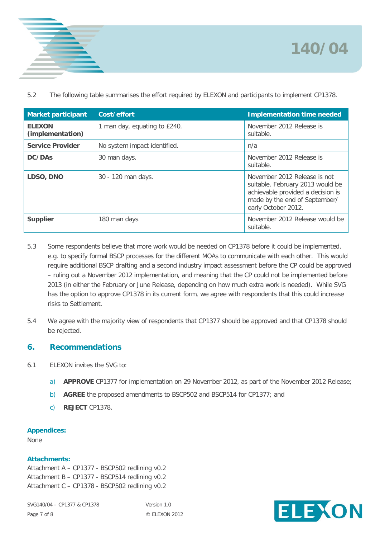



5.2 The following table summarises the effort required by ELEXON and participants to implement CP1378.

| <b>Market participant</b>         | Cost/effort                  | <b>Implementation time needed</b>                                                                                                                             |
|-----------------------------------|------------------------------|---------------------------------------------------------------------------------------------------------------------------------------------------------------|
| <b>ELEXON</b><br>(implementation) | 1 man day, equating to £240. | November 2012 Release is<br>suitable.                                                                                                                         |
| <b>Service Provider</b>           | No system impact identified. | n/a                                                                                                                                                           |
| DC/DAs                            | 30 man days.                 | November 2012 Release is<br>suitable.                                                                                                                         |
| LDSO, DNO                         | 30 - 120 man days.           | November 2012 Release is not<br>suitable. February 2013 would be<br>achievable provided a decision is<br>made by the end of September/<br>early October 2012. |
| <b>Supplier</b>                   | 180 man days.                | November 2012 Release would be<br>suitable.                                                                                                                   |

- 5.3 Some respondents believe that more work would be needed on CP1378 before it could be implemented, e.g. to specify formal BSCP processes for the different MOAs to communicate with each other. This would require additional BSCP drafting and a second industry impact assessment before the CP could be approved – ruling out a November 2012 implementation, and meaning that the CP could not be implemented before 2013 (in either the February or June Release, depending on how much extra work is needed). While SVG has the option to approve CP1378 in its current form, we agree with respondents that this could increase risks to Settlement.
- 5.4 We agree with the majority view of respondents that CP1377 should be approved and that CP1378 should be rejected.

# **6. Recommendations**

- 6.1 ELEXON invites the SVG to:
	- a) **APPROVE** CP1377 for implementation on 29 November 2012, as part of the November 2012 Release;
	- b) **AGREE** the proposed amendments to BSCP502 and BSCP514 for CP1377; and
	- c) **REJECT** CP1378.

## **Appendices:**

None

## **Attachments:**

Attachment A – CP1377 - BSCP502 redlining v0.2 Attachment B – CP1377 - BSCP514 redlining v0.2 Attachment C – CP1378 - BSCP502 redlining v0.2

SVG140/04 – CP1377 & CP1378 Version 1.0 Page 7 of 8 © ELEXON 2012